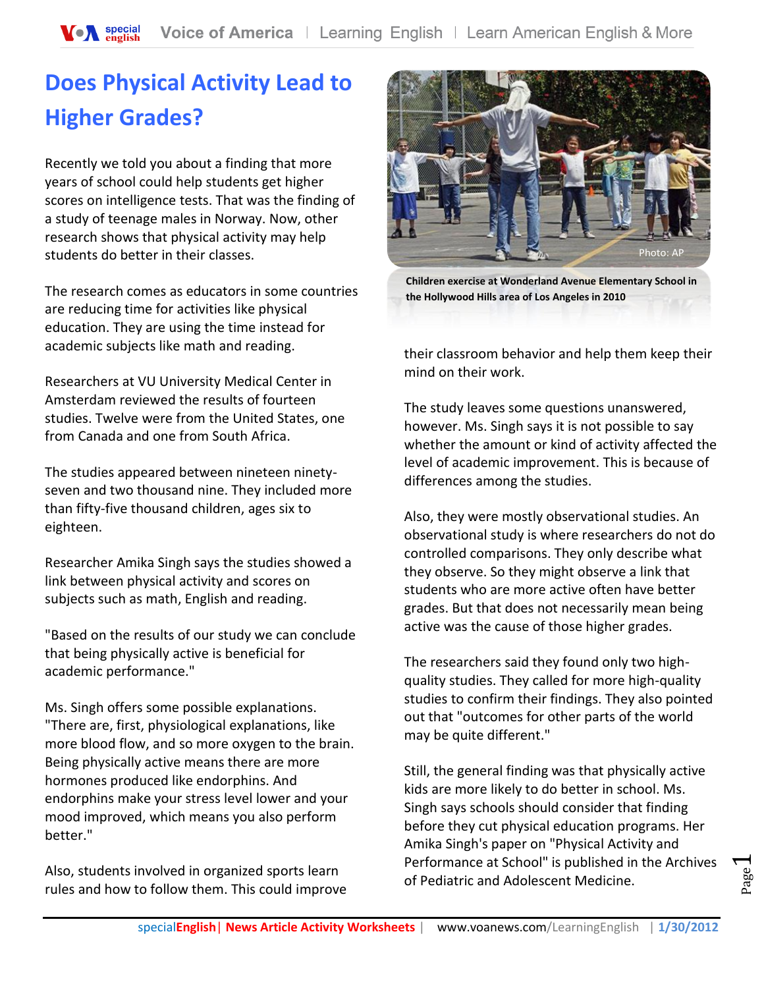## **Does Physical Activity Lead to Higher Grades?**

Recently we told you about a finding that more years of school could help students get higher scores on intelligence tests. That was the finding of a study of teenage males in Norway. Now, other research shows that physical activity may help students do better in their classes.

The research comes as educators in some countries are reducing time for activities like physical education. They are using the time instead for academic subjects like math and reading.

Researchers at VU University Medical Center in Amsterdam reviewed the results of fourteen studies. Twelve were from the United States, one from Canada and one from South Africa.

The studies appeared between nineteen ninetyseven and two thousand nine. They included more than fifty-five thousand children, ages six to eighteen.

Researcher Amika Singh says the studies showed a link between physical activity and scores on subjects such as math, English and reading.

"Based on the results of our study we can conclude that being physically active is beneficial for academic performance."

Ms. Singh offers some possible explanations. "There are, first, physiological explanations, like more blood flow, and so more oxygen to the brain. Being physically active means there are more hormones produced like endorphins. And endorphins make your stress level lower and your mood improved, which means you also perform better."

Also, students involved in organized sports learn rules and how to follow them. This could improve



**Children exercise at Wonderland Avenue Elementary School in the Hollywood Hills area of Los Angeles in 2010**

their classroom behavior and help them keep their mind on their work.

The study leaves some questions unanswered, however. Ms. Singh says it is not possible to say whether the amount or kind of activity affected the level of academic improvement. This is because of differences among the studies.

Also, they were mostly observational studies. An observational study is where researchers do not do controlled comparisons. They only describe what they observe. So they might observe a link that students who are more active often have better grades. But that does not necessarily mean being active was the cause of those higher grades.

The researchers said they found only two highquality studies. They called for more high-quality studies to confirm their findings. They also pointed out that "outcomes for other parts of the world may be quite different."

Still, the general finding was that physically active kids are more likely to do better in school. Ms. Singh says schools should consider that finding before they cut physical education programs. Her Amika Singh's paper on "Physical Activity and Performance at School" is published in the Archives of Pediatric and Adolescent Medicine.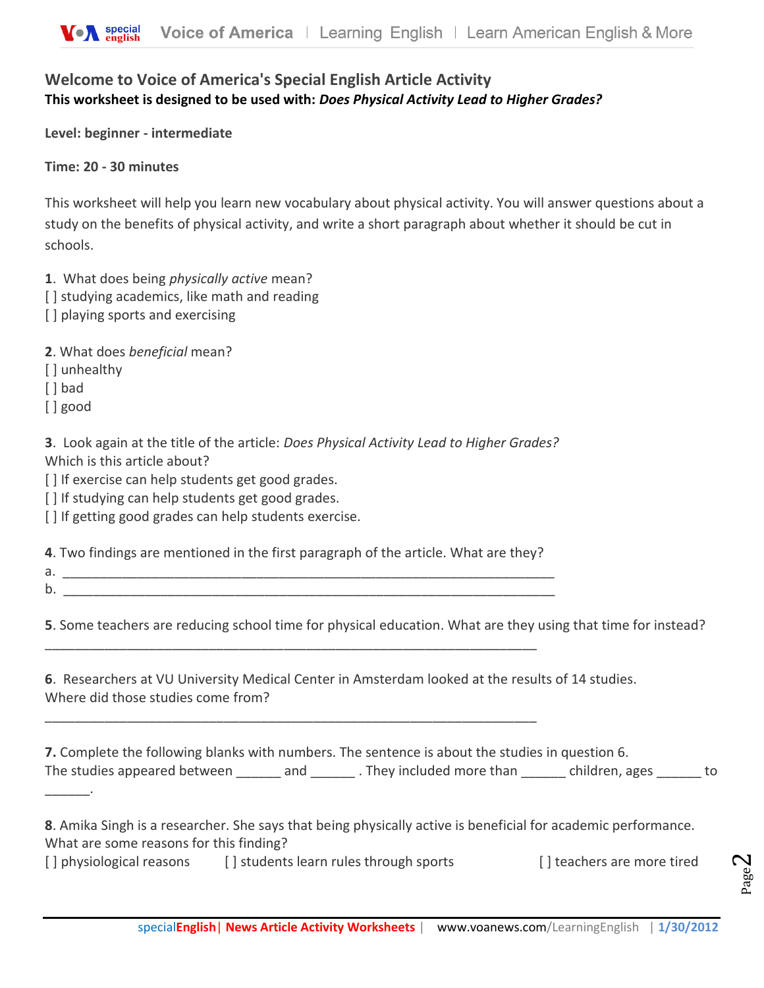## **Welcome to Voice of America's Special English Article Activity This worksheet is designed to be used with:** *Does Physical Activity Lead to Higher Grades?*

**Level: beginner - intermediate** 

**Time: 20 - 30 minutes** 

This worksheet will help you learn new vocabulary about physical activity. You will answer questions about a study on the benefits of physical activity, and write a short paragraph about whether it should be cut in schools.

- **1**. What does being *physically active* mean?
- [ ] studying academics, like math and reading
- [] playing sports and exercising

**2**. What does *beneficial* mean?

[ ] unhealthy

[ ] bad

[ ] good

**3**. Look again at the title of the article: *Does Physical Activity Lead to Higher Grades?* Which is this article about?

[] If exercise can help students get good grades.

[] If studying can help students get good grades.

[] If getting good grades can help students exercise.

**4**. Two findings are mentioned in the first paragraph of the article. What are they?

\_\_\_\_\_\_\_\_\_\_\_\_\_\_\_\_\_\_\_\_\_\_\_\_\_\_\_\_\_\_\_\_\_\_\_\_\_\_\_\_\_\_\_\_\_\_\_\_\_\_\_\_\_\_\_\_\_\_\_\_\_\_\_\_\_\_

\_\_\_\_\_\_\_\_\_\_\_\_\_\_\_\_\_\_\_\_\_\_\_\_\_\_\_\_\_\_\_\_\_\_\_\_\_\_\_\_\_\_\_\_\_\_\_\_\_\_\_\_\_\_\_\_\_\_\_\_\_\_\_\_\_\_

 $a.$ 

 $\mathcal{L}$ 

b. \_\_\_\_\_\_\_\_\_\_\_\_\_\_\_\_\_\_\_\_\_\_\_\_\_\_\_\_\_\_\_\_\_\_\_\_\_\_\_\_\_\_\_\_\_\_\_\_\_\_\_\_\_\_\_\_\_\_\_\_\_\_\_\_\_\_

**5**. Some teachers are reducing school time for physical education. What are they using that time for instead?

**6**. Researchers at VU University Medical Center in Amsterdam looked at the results of 14 studies. Where did those studies come from?

**7.** Complete the following blanks with numbers. The sentence is about the studies in question 6. The studies appeared between \_\_\_\_\_\_ and \_\_\_\_\_\_\_. They included more than \_\_\_\_\_\_ children, ages \_\_\_\_\_\_ to

**8**. Amika Singh is a researcher. She says that being physically active is beneficial for academic performance. What are some reasons for this finding?

[] physiological reasons [] students learn rules through sports [] teachers are more tired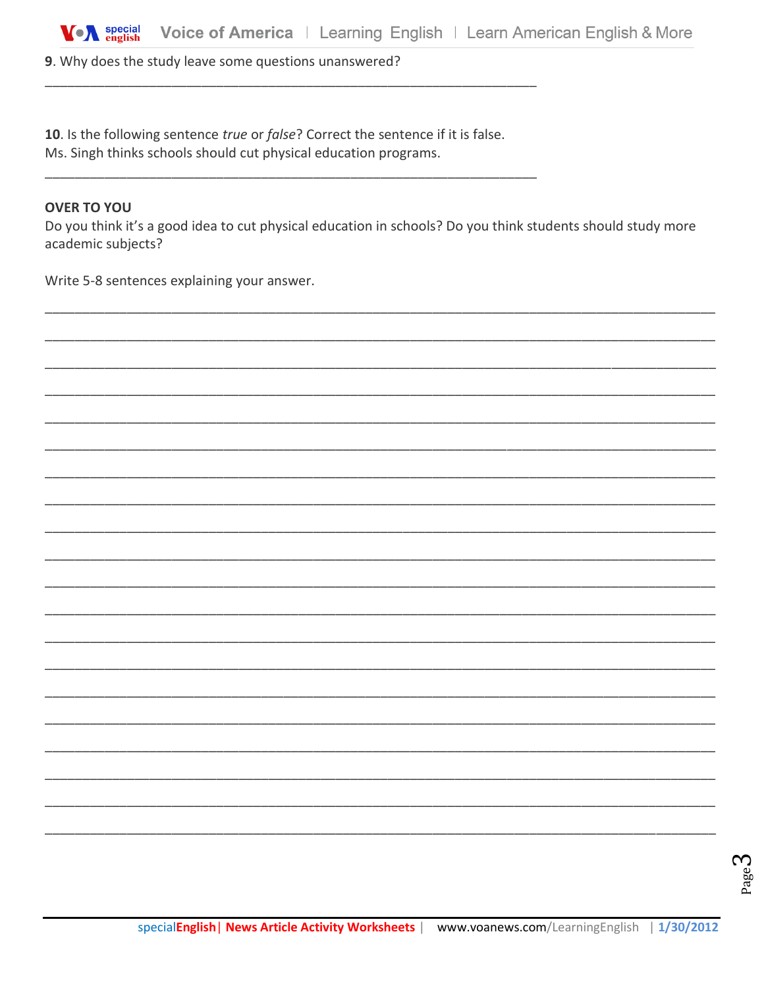9. Why does the study leave some questions unanswered?

10. Is the following sentence true or false? Correct the sentence if it is false.

Ms. Singh thinks schools should cut physical education programs.

## **OVER TO YOU**

Do you think it's a good idea to cut physical education in schools? Do you think students should study more academic subjects?

Write 5-8 sentences explaining your answer.

 $_{\rm Page}$ ე